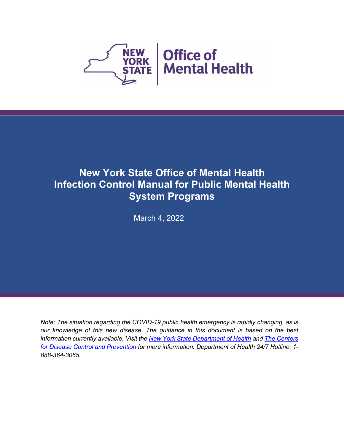

# **New York State Office of Mental Health Infection Control Manual for Public Mental Health System Programs**

March 4, 2022

*Note: The situation regarding the COVID-19 public health emergency is rapidly changing, as is our knowledge of this new disease. The guidance in this document is based on the best information currently available. Visit the New York State [Department](https://coronavirus.health.ny.gov/home) of Health and The [Centers](https://www.cdc.gov/coronavirus/2019-nCoV/index.html) for Disease Control and [Prevention](https://www.cdc.gov/coronavirus/2019-nCoV/index.html) for more information. Department of Health 24/7 Hotline: 1- 888-364-3065.*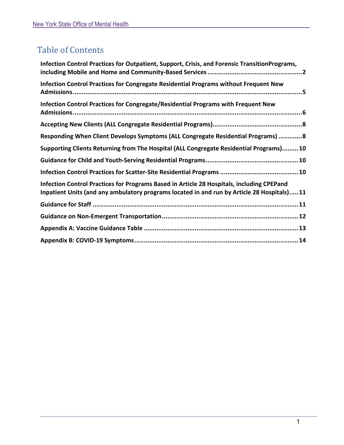# Table of Contents

| Infection Control Practices for Outpatient, Support, Crisis, and Forensic TransitionPrograms,                                                                                           |
|-----------------------------------------------------------------------------------------------------------------------------------------------------------------------------------------|
| Infection Control Practices for Congregate Residential Programs without Frequent New                                                                                                    |
| Infection Control Practices for Congregate/Residential Programs with Frequent New                                                                                                       |
|                                                                                                                                                                                         |
| Responding When Client Develops Symptoms (ALL Congregate Residential Programs) 8                                                                                                        |
| Supporting Clients Returning from The Hospital (ALL Congregate Residential Programs)10                                                                                                  |
|                                                                                                                                                                                         |
|                                                                                                                                                                                         |
| Infection Control Practices for Programs Based in Article 28 Hospitals, including CPEPand<br>Inpatient Units (and any ambulatory programs located in and run by Article 28 Hospitals)11 |
|                                                                                                                                                                                         |
|                                                                                                                                                                                         |
|                                                                                                                                                                                         |
|                                                                                                                                                                                         |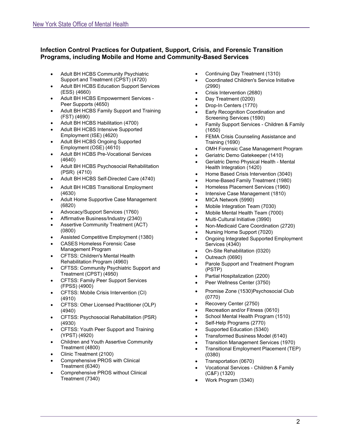#### <span id="page-2-0"></span>**Infection Control Practices for Outpatient, Support, Crisis, and Forensic Transition Programs, including Mobile and Home and Community-Based Services**

- Adult BH HCBS Community Psychiatric Support and Treatment (CPST) (4720)
- Adult BH HCBS Education Support Services (ESS) (4660)
- Adult BH HCBS Empowerment Services Peer Supports (4650)
- Adult BH HCBS Family Support and Training (FST) (4690)
- Adult BH HCBS Habilitation (4700)
- Adult BH HCBS Intensive Supported Employment (ISE) (4620)
- Adult BH HCBS Ongoing Supported Employment (OSE) (4610)
- Adult BH HCBS Pre-Vocational Services (4640)
- Adult BH HCBS Psychosocial Rehabilitation (PSR) (4710)
- Adult BH HCBS Self-Directed Care (4740)
- Adult BH HCBS Transitional Employment (4630)
- Adult Home Supportive Case Management (6820)
- Advocacy/Support Services (1760)
- Affirmative Business/Industry (2340)
- Assertive Community Treatment (ACT) (0800)
- Assisted Competitive Employment (1380)
- CASES Homeless Forensic Case Management Program
- CFTSS: Children's Mental Health Rehabilitation Program (4960)
- CFTSS: Community Psychiatric Support and Treatment (CPST) (4950)
- CFTSS: Family Peer Support Services (FPSS) (4900)
- CFTSS: Mobile Crisis Intervention (CI) (4910)
- CFTSS: Other Licensed Practitioner (OLP) (4940)
- CFTSS: Psychosocial Rehabilitation (PSR) (4930)
- CFTSS: Youth Peer Support and Training (YPST) (4920)
- Children and Youth Assertive Community Treatment (4800)
- Clinic Treatment (2100)
- Comprehensive PROS with Clinical Treatment (6340)
- Comprehensive PROS without Clinical Treatment (7340)
- Continuing Day Treatment (1310)
- Coordinated Children's Service Initiative (2990)
- Crisis Intervention (2680)
- Day Treatment (0200)
- Drop-In Centers (1770)
- Early Recognition Coordination and Screening Services (1590)
- Family Support Services Children & Family (1650)
- FEMA Crisis Counseling Assistance and Training (1690)
- OMH Forensic Case Management Program
- Geriatric Demo Gatekeeper (1410)
- Geriatric Demo Physical Health Mental Health Integration (1420)
- Home Based Crisis Intervention (3040)
- Home-Based Family Treatment (1980)
- Homeless Placement Services (1960)
- Intensive Case Management (1810)
- MICA Network (5990)
- Mobile Integration Team (7030)
- Mobile Mental Health Team (7000)
- Multi-Cultural Initiative (3990)
- Non-Medicaid Care Coordination (2720)
- Nursing Home Support (7020)
- Ongoing Integrated Supported Employment Services (4340)
- On-Site Rehabilitation (0320)
- Outreach (0690)
- Parole Support and Treatment Program (PSTP)
- Partial Hospitalization (2200)
- Peer Wellness Center (3750)
- Promise Zone (1530)Psychosocial Club (0770)
- Recovery Center (2750)
- Recreation and/or Fitness (0610)
- School Mental Health Program (1510)
- Self-Help Programs (2770)
- Supported Education (5340)
- Transformed Business Model (6140)
- Transition Management Services (1970)
- Transitional Employment Placement (TEP)
- (0380) • Transportation (0670)
- Vocational Services Children & Family (C&F) (1320)
- Work Program (3340)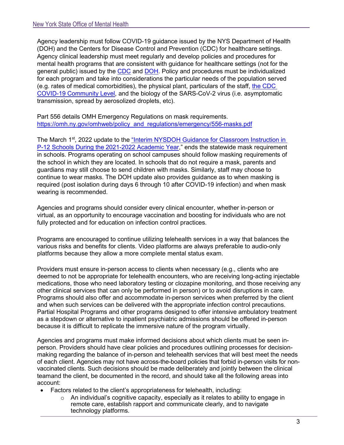Agency leadership must follow COVID-19 guidance issued by the NYS Department of Health (DOH) and the Centers for Disease Control and Prevention (CDC) for healthcare settings. Agency clinical leadership must meet regularly and develop policies and procedures for mental health programs that are consistent with guidance for healthcare settings (not for the general public) issued by the [CDC](https://www.cdc.gov/coronavirus/2019-ncov/hcp/infection-control-recommendations.html) and [DOH.](https://coronavirus.health.ny.gov/covid-19-guidance-repository) Policy and procedures must be individualized for each program and take into considerations the particular needs of the population served (e.g. rates of medical comorbidities), the physical plant, particulars of the staff, [the CDC](https://www.cdc.gov/coronavirus/2019-ncov/your-health/covid-by-county.html)  [COVID-19 Community Level,](https://www.cdc.gov/coronavirus/2019-ncov/your-health/covid-by-county.html) and the biology of the SARS-CoV-2 virus (i.e. asymptomatic transmission, spread by aerosolized droplets, etc).

Part 556 details OMH Emergency Regulations on mask requirements. [https://omh.ny.gov/omhweb/policy\\_and\\_regulations/emergency/556-masks.pdf](https://omh.ny.gov/omhweb/policy_and_regulations/emergency/556-masks.pdf)

The March 1<sup>st</sup>, 2022 [update](https://coronavirus.health.ny.gov/system/files/documents/2022/03/school-guidance-03.01.22_0.pdf) to the "Interim NYSDOH Guidance for Classroom Instruction in [P-12 Schools During the 2021-2022 Academic Year,](https://coronavirus.health.ny.gov/system/files/documents/2022/03/school-guidance-03.01.22_0.pdf)" ends the statewide mask requirement in schools. Programs operating on school campuses should follow masking requirements of the school in which they are located. In schools that do not require a mask, parents and guardians may still choose to send children with masks. Similarly, staff may choose to continue to wear masks. The DOH update also provides guidance as to when masking is required (post isolation during days 6 through 10 after COVID-19 infection) and when mask wearing is recommended.

Agencies and programs should consider every clinical encounter, whether in-person or virtual, as an opportunity to encourage vaccination and boosting for individuals who are not fully protected and for education on infection control practices.

Programs are encouraged to continue utilizing telehealth services in a way that balances the various risks and benefits for clients. Video platforms are always preferable to audio-only platforms because they allow a more complete mental status exam.

Providers must ensure in-person access to clients when necessary (e.g., clients who are deemed to not be appropriate for telehealth encounters, who are receiving long-acting injectable medications, those who need laboratory testing or clozapine monitoring, and those receiving any other clinical services that can only be performed in person) or to avoid disruptions in care. Programs should also offer and accommodate in-person services when preferred by the client and when such services can be delivered with the appropriate infection control precautions. Partial Hospital Programs and other programs designed to offer intensive ambulatory treatment as a stepdown or alternative to inpatient psychiatric admissions should be offered in-person because it is difficult to replicate the immersive nature of the program virtually.

Agencies and programs must make informed decisions about which clients must be seen inperson. Providers should have clear policies and procedures outlining processes for decisionmaking regarding the balance of in-person and telehealth services that will best meet the needs of each client. Agencies may not have across-the-board policies that forbid in-person visits for nonvaccinated clients. Such decisions should be made deliberately and jointly between the clinical teamand the client, be documented in the record, and should take all the following areas into account:

- Factors related to the client's appropriateness for telehealth, including:
	- o An individual's cognitive capacity, especially as it relates to ability to engage in remote care, establish rapport and communicate clearly, and to navigate technology platforms.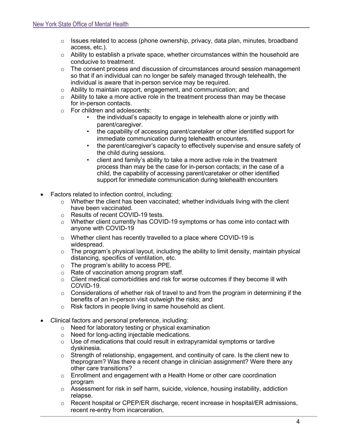- $\circ$  Issues related to access (phone ownership, privacy, data plan, minutes, broadband access, etc.).
- $\circ$  Ability to establish a private space, whether circumstances within the household are conducive to treatment.
- $\circ$  The consent process and discussion of circumstances around session management so that if an individual can no longer be safely managed through telehealth, the individual is aware that in-person service may be required.
- o Ability to maintain rapport, engagement, and communication; and
- $\circ$  Ability to take a more active role in the treatment process than may be thecase for in-person contacts.
- o For children and adolescents:
	- the individual's capacity to engage in telehealth alone or jointly with parent/caregiver.
	- the capability of accessing parent/caretaker or other identified support for immediate communication during telehealth encounters.
	- the parent/caregiver's capacity to effectively supervise and ensure safety of the child during sessions.
	- client and family's ability to take a more active role in the treatment process than may be the case for in-person contacts; in the case of a child, the capability of accessing parent/caretaker or other identified support for immediate communication during telehealth encounters
- Factors related to infection control, including:
	- $\circ$  Whether the client has been vaccinated; whether individuals living with the client have been vaccinated.
	- o Results of recent COVID-19 tests.
	- $\circ$  Whether client currently has COVID-19 symptoms or has come into contact with anyone with COVID-19
	- o Whether client has recently travelled to a place where COVID-19 is widespread.
	- o The program's physical layout, including the ability to limit density, maintain physical distancing, specifics of ventilation, etc.
	- o The program's ability to access PPE.
	- o Rate of vaccination among program staff.
	- $\circ$  Client medical comorbidities and risk for worse outcomes if they become ill with COVID-19.
	- $\circ$  Considerations of whether risk of travel to and from the program in determining if the benefits of an in-person visit outweigh the risks; and
	- o Risk factors in people living in same household as client.
- Clinical factors and personal preference, including:
	- o Need for laboratory testing or physical examination
	- o Need for long-acting injectable medications.
	- $\circ$  Use of medications that could result in extrapyramidal symptoms or tardive dyskinesia.
	- $\circ$  Strength of relationship, engagement, and continuity of care. Is the client new to theprogram? Was there a recent change in clinician assignment? Were there any other care transitions?
	- $\circ$  Enrollment and engagement with a Health Home or other care coordination program
	- $\circ$  Assessment for risk in self harm, suicide, violence, housing instability, addiction relapse.
	- $\circ$  Recent hospital or CPEP/ER discharge, recent increase in hospital/ER admissions, recent re-entry from incarceration,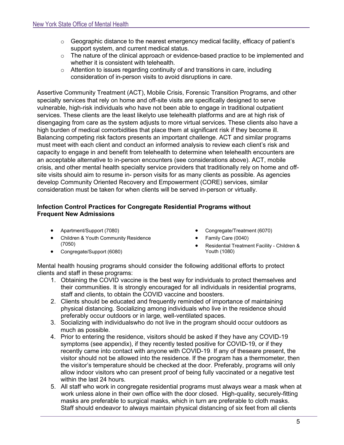- $\circ$  Geographic distance to the nearest emergency medical facility, efficacy of patient's support system, and current medical status.
- o The nature of the clinical approach or evidence-based practice to be implemented and whether it is consistent with telehealth.
- $\circ$  Attention to issues regarding continuity of and transitions in care, including consideration of in-person visits to avoid disruptions in care.

Assertive Community Treatment (ACT), Mobile Crisis, Forensic Transition Programs, and other specialty services that rely on home and off-site visits are specifically designed to serve vulnerable, high-risk individuals who have not been able to engage in traditional outpatient services. These clients are the least likelyto use telehealth platforms and are at high risk of disengaging from care as the system adjusts to more virtual services. These clients also have a high burden of medical comorbidities that place them at significant risk if they become ill. Balancing competing risk factors presents an important challenge. ACT and similar programs must meet with each client and conduct an informed analysis to review each client's risk and capacity to engage in and benefit from telehealth to determine when telehealth encounters are an acceptable alternative to in-person encounters (see considerations above). ACT, mobile crisis, and other mental health specialty service providers that traditionally rely on home and offsite visits should aim to resume in- person visits for as many clients as possible. As agencies develop Community Oriented Recovery and Empowerment (CORE) services, similar consideration must be taken for when clients will be served in-person or virtually.

### <span id="page-5-0"></span>**Infection Control Practices for Congregate Residential Programs without Frequent New Admissions**

- Apartment/Support (7080)
- Children & Youth Community Residence (7050)
- Congregate/Support (6080)
- Congregate/Treatment (6070)
- Family Care (0040)
- Residential Treatment Facility Children & Youth (1080)

Mental health housing programs should consider the following additional efforts to protect clients and staff in these programs:

- 1. Obtaining the COVID vaccine is the best way for individuals to protect themselves and their communities. It is strongly encouraged for all individuals in residential programs, staff and clients, to obtain the COVID vaccine and boosters.
- 2. Clients should be educated and frequently reminded of importance of maintaining physical distancing. Socializing among individuals who live in the residence should preferably occur outdoors or in large, well-ventilated spaces.
- 3. Socializing with individualswho do not live in the program should occur outdoors as much as possible.
- 4. Prior to entering the residence, visitors should be asked if they have any COVID-19 symptoms (see appendix), if they recently tested positive for COVID-19, or if they recently came into contact with anyone with COVID-19. If any of theseare present, the visitor should not be allowed into the residence. If the program has a thermometer, then the visitor's temperature should be checked at the door. Preferably, programs will only allow indoor visitors who can present proof of being fully vaccinated or a negative test within the last 24 hours.
- 5. All staff who work in congregate residential programs must always wear a mask when at work unless alone in their own office with the door closed. High-quality, securely-fitting masks are preferable to surgical masks, which in turn are preferable to cloth masks. Staff should endeavor to always maintain physical distancing of six feet from all clients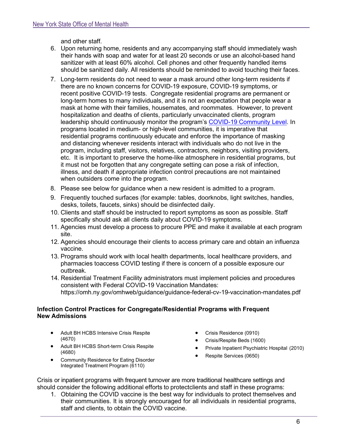and other staff.

- 6. Upon returning home, residents and any accompanying staff should immediately wash their hands with soap and water for at least 20 seconds or use an alcohol-based hand sanitizer with at least 60% alcohol. Cell phones and other frequently handled items should be sanitized daily. All residents should be reminded to avoid touching their faces.
- 7. Long-term residents do not need to wear a mask around other long-term residents if there are no known concerns for COVID-19 exposure, COVID-19 symptoms, or recent positive COVID-19 tests. Congregate residential programs are permanent or long-term homes to many individuals, and it is not an expectation that people wear a mask at home with their families, housemates, and roommates. However, to prevent hospitalization and deaths of clients, particularly unvaccinated clients, program leadership should continuously monitor the program's [COVID-19 Community Level.](https://www.cdc.gov/coronavirus/2019-ncov/your-health/covid-by-county.html) In programs located in medium- or high-level communities, it is imperative that residential programs continuously educate and enforce the importance of masking and distancing whenever residents interact with individuals who do not live in the program, including staff, visitors, relatives, contractors, neighbors, visiting providers, etc. It is important to preserve the home-like atmosphere in residential programs, but it must not be forgotten that any congregate setting can pose a risk of infection, illness, and death if appropriate infection control precautions are not maintained when outsiders come into the program.
- 8. Please see below for guidance when a new resident is admitted to a program.
- 9. Frequently touched surfaces (for example: tables, doorknobs, light switches, handles, desks, toilets, faucets, sinks) should be disinfected daily.
- 10. Clients and staff should be instructed to report symptoms as soon as possible. Staff specifically should ask all clients daily about COVID-19 symptoms.
- 11. Agencies must develop a process to procure PPE and make it available at each program site.
- 12. Agencies should encourage their clients to access primary care and obtain an influenza vaccine.
- 13. Programs should work with local health departments, local healthcare providers, and pharmacies toaccess COVID testing if there is concern of a possible exposure our outbreak.
- 14. Residential Treatment Facility administrators must implement policies and procedures consistent with Federal COVID-19 Vaccination Mandates: https://omh.ny.gov/omhweb/guidance/guidance-federal-cv-19-vaccination-mandates.pdf

### <span id="page-6-0"></span>**Infection Control Practices for Congregate/Residential Programs with Frequent New Admissions**

- Adult BH HCBS Intensive Crisis Respite (4670)
- Adult BH HCBS Short-term Crisis Respite (4680)
- Community Residence for Eating Disorder Integrated Treatment Program (6110)
- Crisis Residence (0910)
- Crisis/Respite Beds (1600)
- Private Inpatient Psychiatric Hospital (2010)
- Respite Services (0650)

Crisis or inpatient programs with frequent turnover are more traditional healthcare settings and should consider the following additional efforts to protectclients and staff in these programs:

1. Obtaining the COVID vaccine is the best way for individuals to protect themselves and their communities. It is strongly encouraged for all individuals in residential programs, staff and clients, to obtain the COVID vaccine.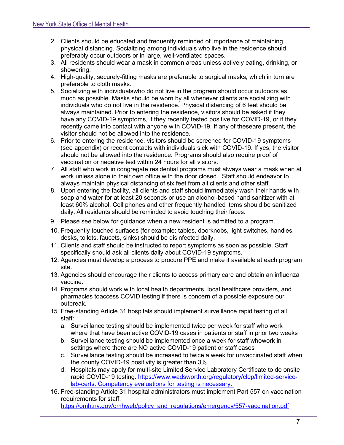- 2. Clients should be educated and frequently reminded of importance of maintaining physical distancing. Socializing among individuals who live in the residence should preferably occur outdoors or in large, well-ventilated spaces.
- 3. All residents should wear a mask in common areas unless actively eating, drinking, or showering.
- 4. High-quality, securely-fitting masks are preferable to surgical masks, which in turn are preferable to cloth masks.
- 5. Socializing with individualswho do not live in the program should occur outdoors as much as possible. Masks should be worn by all whenever clients are socializing with individuals who do not live in the residence. Physical distancing of 6 feet should be always maintained. Prior to entering the residence, visitors should be asked if they have any COVID-19 symptoms, if they recently tested positive for COVID-19, or if they recently came into contact with anyone with COVID-19. If any of theseare present, the visitor should not be allowed into the residence.
- 6. Prior to entering the residence, visitors should be screened for COVID-19 symptoms (see appendix) or recent contacts with individuals sick with COVID-19. If yes, the visitor should not be allowed into the residence. Programs should also require proof of vaccination or negative test within 24 hours for all visitors.
- 7. All staff who work in congregate residential programs must always wear a mask when at work unless alone in their own office with the door closed . Staff should endeavor to always maintain physical distancing of six feet from all clients and other staff.
- 8. Upon entering the facility, all clients and staff should immediately wash their hands with soap and water for at least 20 seconds or use an alcohol-based hand sanitizer with at least 60% alcohol. Cell phones and other frequently handled items should be sanitized daily. All residents should be reminded to avoid touching their faces.
- 9. Please see below for guidance when a new resident is admitted to a program.
- 10. Frequently touched surfaces (for example: tables, doorknobs, light switches, handles, desks, toilets, faucets, sinks) should be disinfected daily.
- 11. Clients and staff should be instructed to report symptoms as soon as possible. Staff specifically should ask all clients daily about COVID-19 symptoms.
- 12. Agencies must develop a process to procure PPE and make it available at each program site.
- 13. Agencies should encourage their clients to access primary care and obtain an influenza vaccine.
- 14. Programs should work with local health departments, local healthcare providers, and pharmacies toaccess COVID testing if there is concern of a possible exposure our outbreak.
- 15. Free-standing Article 31 hospitals should implement surveillance rapid testing of all staff:
	- a. Surveillance testing should be implemented twice per week for staff who work where that have been active COVID-19 cases in patients or staff in prior two weeks
	- b. Surveillance testing should be implemented once a week for staff whowork in settings where there are NO active COVID-19 patient or staff cases
	- c. Surveillance testing should be increased to twice a week for unvaccinated staff when the county COVID-19 positivity is greater than 3%
	- d. Hospitals may apply for multi-site Limited Service Laboratory Certificate to do onsite rapid COVID-19 testing. [https://www.wadsworth.org/regulatory/clep/limited-service](https://www.wadsworth.org/regulatory/clep/limited-service-lab-certs)[lab-certs.](https://www.wadsworth.org/regulatory/clep/limited-service-lab-certs) Competency evaluations for testing is necessary.
- 16. Free-standing Article 31 hospital administrators must implement Part 557 on vaccination requirements for staff: [https://omh.ny.gov/omhweb/policy\\_and\\_regulations/emergency/557-vaccination.pdf](https://omh.ny.gov/omhweb/policy_and_regulations/emergency/557-vaccination.pdf)

7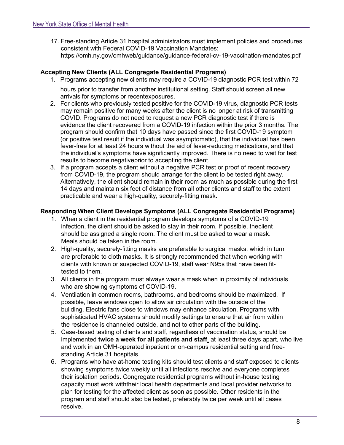17. Free-standing Article 31 hospital administrators must implement policies and procedures consistent with Federal COVID-19 Vaccination Mandates: https://omh.ny.gov/omhweb/guidance/guidance-federal-cv-19-vaccination-mandates.pdf

# <span id="page-8-0"></span>**Accepting New Clients (ALL Congregate Residential Programs)**

- 1. Programs accepting new clients may require a COVID-19 diagnostic PCR test within 72 hours prior to transfer from another institutional setting. Staff should screen all new arrivals for symptoms or recentexposures.
- 2. For clients who previously tested positive for the COVID-19 virus, diagnostic PCR tests may remain positive for many weeks after the client is no longer at risk of transmitting COVID. Programs do not need to request a new PCR diagnostic test if there is evidence the client recovered from a COVID-19 infection within the prior 3 months. The program should confirm that 10 days have passed since the first COVID-19 symptom (or positive test result if the individual was asymptomatic), that the individual has been fever-free for at least 24 hours without the aid of fever-reducing medications, and that the individual's symptoms have significantly improved. There is no need to wait for test results to become negativeprior to accepting the client.
- 3. If a program accepts a client without a negative PCR test or proof of recent recovery from COVID-19, the program should arrange for the client to be tested right away. Alternatively, the client should remain in their room as much as possible during the first 14 days and maintain six feet of distance from all other clients and staff to the extent practicable and wear a high-quality, securely-fitting mask.

# <span id="page-8-1"></span>**Responding When Client Develops Symptoms (ALL Congregate Residential Programs)**

- 1. When a client in the residential program develops symptoms of a COVID-19 infection, the client should be asked to stay in their room. If possible, theclient should be assigned a single room. The client must be asked to wear a mask. Meals should be taken in the room.
- 2. High-quality, securely-fitting masks are preferable to surgical masks, which in turn are preferable to cloth masks. It is strongly recommended that when working with clients with known or suspected COVID-19, staff wear N95s that have been fittested to them.
- 3. All clients in the program must always wear a mask when in proximity of individuals who are showing symptoms of COVID-19.
- 4. Ventilation in common rooms, bathrooms, and bedrooms should be maximized. If possible, leave windows open to allow air circulation with the outside of the building. Electric fans close to windows may enhance circulation. Programs with sophisticated HVAC systems should modify settings to ensure that air from within the residence is channeled outside, and not to other parts of the building.
- 5. Case-based testing of clients and staff, regardless of vaccination status, should be implemented **twice a week for all patients and staff**, at least three days apart, who live and work in an OMH-operated inpatient or on-campus residential setting and freestanding Article 31 hospitals.
- 6. Programs who have at-home testing kits should test clients and staff exposed to clients showing symptoms twice weekly until all infections resolve and everyone completes their isolation periods. Congregate residential programs without in-house testing capacity must work withtheir local health departments and local provider networks to plan for testing for the affected client as soon as possible. Other residents in the program and staff should also be tested, preferably twice per week until all cases resolve.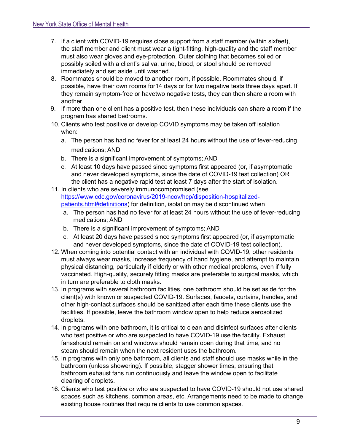- 7. If a client with COVID-19 requires close support from a staff member (within sixfeet), the staff member and client must wear a tight-fitting, high-quality and the staff member must also wear gloves and eye-protection. Outer clothing that becomes soiled or possibly soiled with a client's saliva, urine, blood, or stool should be removed immediately and set aside until washed.
- 8. Roommates should be moved to another room, if possible. Roommates should, if possible, have their own rooms for14 days or for two negative tests three days apart. If they remain symptom-free or havetwo negative tests, they can then share a room with another.
- 9. If more than one client has a positive test, then these individuals can share a room if the program has shared bedrooms.
- 10. Clients who test positive or develop COVID symptoms may be taken off isolation when:
	- a. The person has had no fever for at least 24 hours without the use of fever-reducing medications; AND
	- b. There is a significant improvement of symptoms; AND
	- c. At least 10 days have passed since symptoms first appeared (or, if asymptomatic and never developed symptoms, since the date of COVID-19 test collection) OR the client has a negative rapid test at least 7 days after the start of isolation.
- 11. In clients who are severely immunocompromised (see [https://www.cdc.gov/coronavirus/2019-ncov/hcp/disposition-hospitalized](https://www.cdc.gov/coronavirus/2019-ncov/hcp/disposition-hospitalized-patients.html#definitions)[patients.html#definitions\)](https://www.cdc.gov/coronavirus/2019-ncov/hcp/disposition-hospitalized-patients.html#definitions) for definition, isolation may be discontinued when
	- a. The person has had no fever for at least 24 hours without the use of fever-reducing medications; AND
	- b. There is a significant improvement of symptoms; AND
	- c. At least 20 days have passed since symptoms first appeared (or, if asymptomatic and never developed symptoms, since the date of COVID-19 test collection).
- 12. When coming into potential contact with an individual with COVID-19, other residents must always wear masks, increase frequency of hand hygiene, and attempt to maintain physical distancing, particularly if elderly or with other medical problems, even if fully vaccinated. High-quality, securely fitting masks are preferable to surgical masks, which in turn are preferable to cloth masks.
- 13. In programs with several bathroom facilities, one bathroom should be set aside for the client(s) with known or suspected COVID-19. Surfaces, faucets, curtains, handles, and other high-contact surfaces should be sanitized after each time these clients use the facilities. If possible, leave the bathroom window open to help reduce aerosolized droplets.
- 14. In programs with one bathroom, it is critical to clean and disinfect surfaces after clients who test positive or who are suspected to have COVID-19 use the facility. Exhaust fansshould remain on and windows should remain open during that time, and no steam should remain when the next resident uses the bathroom.
- 15. In programs with only one bathroom, all clients and staff should use masks while in the bathroom (unless showering). If possible, stagger shower times, ensuring that bathroom exhaust fans run continuously and leave the window open to facilitate clearing of droplets.
- 16. Clients who test positive or who are suspected to have COVID-19 should not use shared spaces such as kitchens, common areas, etc. Arrangements need to be made to change existing house routines that require clients to use common spaces.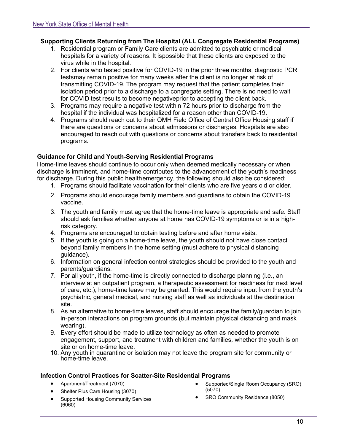## <span id="page-10-0"></span>**Supporting Clients Returning from The Hospital (ALL Congregate Residential Programs)**

- 1. Residential program or Family Care clients are admitted to psychiatric or medical hospitals for a variety of reasons. It ispossible that these clients are exposed to the virus while in the hospital.
- 2. For clients who tested positive for COVID-19 in the prior three months, diagnostic PCR testsmay remain positive for many weeks after the client is no longer at risk of transmitting COVID-19. The program may request that the patient completes their isolation period prior to a discharge to a congregate setting. There is no need to wait for COVID test results to become negativeprior to accepting the client back.
- 3. Programs may require a negative test within 72 hours prior to discharge from the hospital if the individual was hospitalized for a reason other than COVID-19.
- 4. Programs should reach out to their OMH Field Office of Central Office Housing staff if there are questions or concerns about admissions or discharges. Hospitals are also encouraged to reach out with questions or concerns about transfers back to residential programs.

#### <span id="page-10-1"></span>**Guidance for Child and Youth-Serving Residential Programs**

Home-time leaves should continue to occur only when deemed medically necessary or when discharge is imminent, and home-time contributes to the advancement of the youth's readiness for discharge. During this public health emergency, the following should also be considered:

- 1. Programs should facilitate vaccination for their clients who are five years old or older.
- 2. Programs should encourage family members and guardians to obtain the COVID-19 vaccine.
- 3. The youth and family must agree that the home-time leave is appropriate and safe. Staff should ask families whether anyone at home has COVID-19 symptoms or is in a highrisk category.
- 4. Programs are encouraged to obtain testing before and after home visits.
- 5. If the youth is going on a home-time leave, the youth should not have close contact beyond family members in the home setting (must adhere to physical distancing guidance).
- 6. Information on general infection control strategies should be provided to the youth and parents/guardians.
- 7. For all youth, if the home-time is directly connected to discharge planning (i.e., an interview at an outpatient program, a therapeutic assessment for readiness for next level of care, etc.), home-time leave may be granted. This would require input from the youth's psychiatric, general medical, and nursing staff as well as individuals at the destination site.
- 8. As an alternative to home-time leaves, staff should encourage the family/guardian to join in-person interactions on program grounds (but maintain physical distancing and mask wearing).
- 9. Every effort should be made to utilize technology as often as needed to promote engagement, support, and treatment with children and families, whether the youth is on site or on home-time leave.
- 10. Any youth in quarantine or isolation may not leave the program site for community or home-time leave.

#### <span id="page-10-2"></span>**Infection Control Practices for Scatter-Site Residential Programs**

- Apartment/Treatment (7070)
- Shelter Plus Care Housing (3070)
- Supported Housing Community Services (6060)
- Supported/Single Room Occupancy (SRO) (5070)
- SRO Community Residence (8050)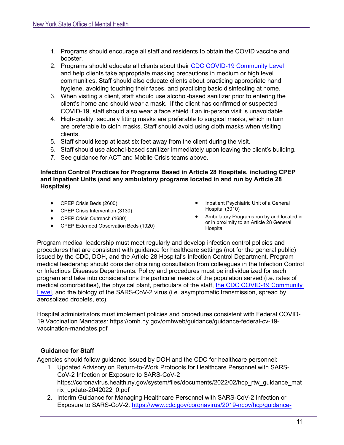- 1. Programs should encourage all staff and residents to obtain the COVID vaccine and booster.
- 2. Programs should educate all clients about their CDC [COVID-19 Community Level](https://www.cdc.gov/coronavirus/2019-ncov/your-health/covid-by-county.html) and help clients take appropriate masking precautions in medium or high level communities. Staff should also educate clients about practicing appropriate hand hygiene, avoiding touching their faces, and practicing basic disinfecting at home.
- 3. When visiting a client, staff should use alcohol-based sanitizer prior to entering the client's home and should wear a mask. If the client has confirmed or suspected COVID-19, staff should also wear a face shield if an in-person visit is unavoidable.
- 4. High-quality, securely fitting masks are preferable to surgical masks, which in turn are preferable to cloth masks. Staff should avoid using cloth masks when visiting clients.
- 5. Staff should keep at least six feet away from the client during the visit.
- 6. Staff should use alcohol-based sanitizer immediately upon leaving the client's building.
- 7. See guidance for ACT and Mobile Crisis teams above.

#### <span id="page-11-0"></span>**Infection Control Practices for Programs Based in Article 28 Hospitals, including CPEP and Inpatient Units (and any ambulatory programs located in and run by Article 28 Hospitals)**

- CPEP Crisis Beds (2600)
- CPEP Crisis Intervention (3130)
- CPEP Crisis Outreach (1680)
- CPEP Extended Observation Beds (1920)
- Inpatient Psychiatric Unit of a General Hospital (3010)
- Ambulatory Programs run by and located in or in proximity to an Article 28 General Hospital

Program medical leadership must meet regularly and develop infection control policies and procedures that are consistent with guidance for healthcare settings (not for the general public) issued by the CDC, DOH, and the Article 28 Hospital's Infection Control Department. Program medical leadership should consider obtaining consultation from colleagues in the Infection Control or Infectious Diseases Departments. Policy and procedures must be individualized for each program and take into considerations the particular needs of the population served (i.e. rates of medical comorbidities), the physical plant, particulars of the staff, the CDC COVID-19 Community [Level,](https://www.cdc.gov/coronavirus/2019-ncov/your-health/covid-by-county.html) and the biology of the SARS-CoV-2 virus (i.e. asymptomatic transmission, spread by aerosolized droplets, etc).

Hospital administrators must implement policies and procedures consistent with Federal COVID-19 Vaccination Mandates: https://omh.ny.gov/omhweb/guidance/guidance-federal-cv-19 vaccination-mandates.pdf

# <span id="page-11-1"></span>**Guidance for Staff**

Agencies should follow guidance issued by DOH and the CDC for healthcare personnel:

- 1. Updated Advisory on Return-to-Work Protocols for Healthcare Personnel with SARS-CoV-2 Infection or Exposure to SARS-CoV-2 https://coronavirus.health.ny.gov/system/files/documents/2022/02/hcp\_rtw\_guidance\_mat rix\_update-2042022\_0.pdf
- 2. Interim Guidance for Managing Healthcare Personnel with SARS-CoV-2 Infection or Exposure to SARS-CoV-2. [https://www.cdc.gov/coronavirus/2019-ncov/hcp/guidance-](https://www.cdc.gov/coronavirus/2019-ncov/hcp/guidance-risk-assesment-hcp.html)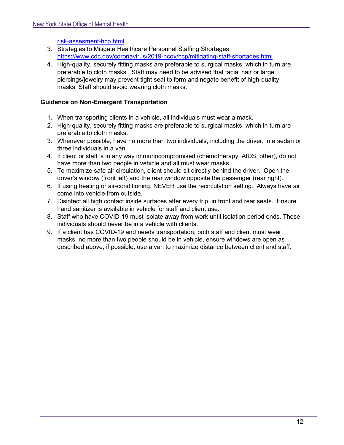### [risk-assesment-hcp.html](https://www.cdc.gov/coronavirus/2019-ncov/hcp/guidance-risk-assesment-hcp.html)

- 3. Strategies to Mitigate Healthcare Personnel Staffing Shortages. <https://www.cdc.gov/coronavirus/2019-ncov/hcp/mitigating-staff-shortages.html>
- 4. High-quality, securely fitting masks are preferable to surgical masks, which in turn are preferable to cloth masks. Staff may need to be advised that facial hair or large piercings/jewelry may prevent tight seal to form and negate benefit of high-quality masks. Staff should avoid wearing cloth masks.

## <span id="page-12-0"></span>**Guidance on Non-Emergent Transportation**

- 1. When transporting clients in a vehicle, all individuals must wear a mask.
- 2. High-quality, securely fitting masks are preferable to surgical masks, which in turn are preferable to cloth masks.
- 3. Whenever possible, have no more than two individuals, including the driver, in a sedan or three individuals in a van.
- 4. If client or staff is in any way immunocompromised (chemotherapy, AIDS, other), do not have more than two people in vehicle and all must wear masks.
- 5. To maximize safe air circulation, client should sit directly behind the driver. Open the driver's window (front left) and the rear window opposite the passenger (rear right).
- 6. If using heating or air-conditioning, NEVER use the recirculation setting. Always have air come into vehicle from outside.
- 7. Disinfect all high contact inside surfaces after every trip, in front and rear seats. Ensure hand sanitizer is available in vehicle for staff and client use.
- 8. Staff who have COVID-19 must isolate away from work until isolation period ends. These individuals should never be in a vehicle with clients.
- 9. If a client has COVID-19 and needs transportation, both staff and client must wear masks, no more than two people should be in vehicle, ensure windows are open as described above, if possible, use a van to maximize distance between client and staff.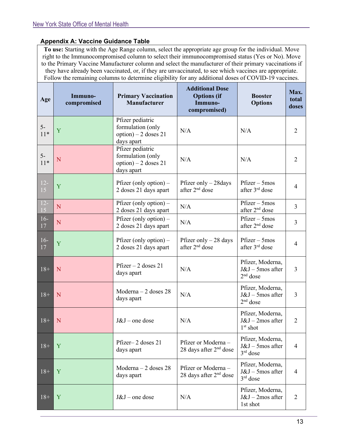# <span id="page-13-0"></span>**Appendix A: Vaccine Guidance Table**

**To use:** Starting with the Age Range column, select the appropriate age group for the individual. Move right to the Immunocompromised column to select their immunocompromised status (Yes or No). Move to the Primary Vaccine Manufacturer column and select the manufacturer of their primary vaccinations if they have already been vaccinated, or, if they are unvaccinated, to see which vaccines are appropriate. Follow the remaining columns to determine eligibility for any additional doses of COVID-19 vaccines.

| Age             | Immuno-<br>compromised | <b>Primary Vaccination</b><br>Manufacturer                                   | <b>Additional Dose</b><br><b>Options</b> (if<br>Immuno-<br>compromised) | <b>Booster</b><br><b>Options</b>                          | Max.<br>total<br>doses |
|-----------------|------------------------|------------------------------------------------------------------------------|-------------------------------------------------------------------------|-----------------------------------------------------------|------------------------|
| $5-$<br>$11*$   | Y                      | Pfizer pediatric<br>formulation (only<br>option) $-2$ doses 21<br>days apart | N/A                                                                     | N/A                                                       | $\overline{2}$         |
| $5-$<br>$11*$   | N                      | Pfizer pediatric<br>formulation (only<br>option) $-2$ doses 21<br>days apart | N/A                                                                     | N/A                                                       | $\overline{2}$         |
| $12-$<br>15     | Y                      | Pfizer (only option) $-$<br>2 doses 21 days apart                            | Pfizer only $-28$ days<br>after 2 <sup>nd</sup> dose                    | $Pfizer - 5mos$<br>after 3 <sup>rd</sup> dose             | 4                      |
| $\frac{12}{15}$ | ${\bf N}$              | Pfizer (only option) $-$<br>2 doses 21 days apart                            | N/A                                                                     | $Pfizer - 5mos$<br>after 2 <sup>nd</sup> dose             | $\overline{3}$         |
| $16-$<br>17     | N                      | Pfizer (only option) $-$<br>2 doses 21 days apart                            | N/A                                                                     | $Pfizer - 5mos$<br>after 2 <sup>nd</sup> dose             | 3                      |
| $16-$<br>17     | Y                      | Pfizer (only option) $-$<br>2 doses 21 days apart                            | Pfizer only $-28$ days<br>after 2 <sup>nd</sup> dose                    | $Pfizer - 5mos$<br>after 3 <sup>rd</sup> dose             | 4                      |
| $18+$           | N                      | $Pfizer - 2$ doses 21<br>days apart                                          | N/A                                                                     | Pfizer, Moderna,<br>$J&J$ – 5mos after<br>$2nd$ dose      | 3                      |
| $18+$           | N                      | $Moderna - 2$ doses 28<br>days apart                                         | N/A                                                                     | Pfizer, Moderna,<br>J&J - 5mos after<br>$2nd$ dose        | 3                      |
| $18+$           | N                      | $J&J$ – one dose                                                             | N/A                                                                     | Pfizer, Moderna,<br>J&J - 2mos after<br>$1^{\rm st}$ shot | $\overline{2}$         |
| $18+$           | Y                      | Pfizer-2 doses 21<br>days apart                                              | Pfizer or Moderna-<br>28 days after $2nd$ dose                          | Pfizer, Moderna,<br>$J&J$ – 5mos after<br>$3rd$ dose      | $\overline{4}$         |
| $18+$           | Y                      | Moderna $-2$ doses 28<br>days apart                                          | Pfizer or Moderna -<br>28 days after $2nd$ dose                         | Pfizer, Moderna,<br>$J&J$ – 5mos after<br>$3rd$ dose      | 4                      |
| $18+$           | Y                      | $J&J$ – one dose                                                             | N/A                                                                     | Pfizer, Moderna,<br>$J&J$ – 2mos after<br>1st shot        | 2                      |